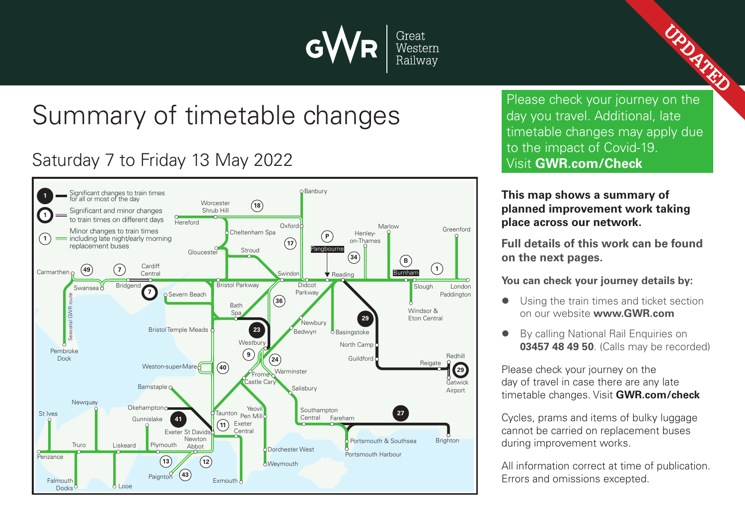

# Summary of timetable changes

## Saturday 7 to Friday 13 May 2022



Please check your journey on the day you travel. Additional, late timetable changes may apply due to the impact of Covid-19. Visit **GWR.com/Check**

**UPDATED** 

#### **This map shows a summary of planned improvement work taking place across our network.**

**Full details of this work can be found on the next pages.**

**You can check your journey details by:**

- Using the train times and ticket section on our website **www.GWR.com**
- By calling National Rail Enquiries on **03457 48 49 50**. (Calls may be recorded)

Please check your journey on the day of travel in case there are any late timetable changes. Visit **GWR.com/check**

Cycles, prams and items of bulky luggage cannot be carried on replacement buses during improvement works.

All information correct at time of publication. Errors and omissions excepted.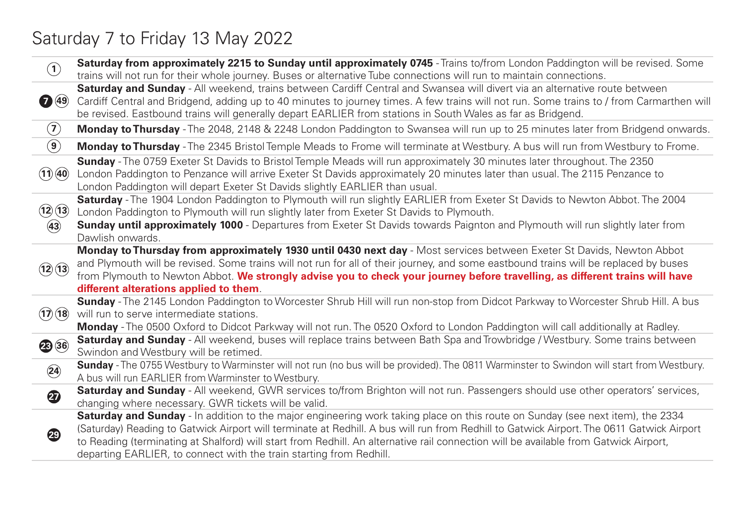## Saturday 7 to Friday 13 May 2022

| $\left( \mathbf{1}\right)$ | Saturday from approximately 2215 to Sunday until approximately 0745 - Trains to/from London Paddington will be revised. Some<br>trains will not run for their whole journey. Buses or alternative Tube connections will run to maintain connections.                                                                                                                                                                                                                                       |
|----------------------------|--------------------------------------------------------------------------------------------------------------------------------------------------------------------------------------------------------------------------------------------------------------------------------------------------------------------------------------------------------------------------------------------------------------------------------------------------------------------------------------------|
| $\bigodot$ (49)            | Saturday and Sunday - All weekend, trains between Cardiff Central and Swansea will divert via an alternative route between<br>Cardiff Central and Bridgend, adding up to 40 minutes to journey times. A few trains will not run. Some trains to / from Carmarthen will<br>be revised. Eastbound trains will generally depart EARLIER from stations in South Wales as far as Bridgend.                                                                                                      |
| $\left( \mathbf{Z}\right)$ | Monday to Thursday - The 2048, 2148 & 2248 London Paddington to Swansea will run up to 25 minutes later from Bridgend onwards.                                                                                                                                                                                                                                                                                                                                                             |
| $\left( \textbf{9}\right)$ | <b>Monday to Thursday</b> - The 2345 Bristol Temple Meads to Frome will terminate at Westbury. A bus will run from Westbury to Frome.                                                                                                                                                                                                                                                                                                                                                      |
| (11)(40)                   | Sunday - The 0759 Exeter St Davids to Bristol Temple Meads will run approximately 30 minutes later throughout. The 2350<br>London Paddington to Penzance will arrive Exeter St Davids approximately 20 minutes later than usual. The 2115 Penzance to<br>London Paddington will depart Exeter St Davids slightly EARLIER than usual.                                                                                                                                                       |
| (12)(13)                   | Saturday - The 1904 London Paddington to Plymouth will run slightly EARLIER from Exeter St Davids to Newton Abbot. The 2004<br>London Paddington to Plymouth will run slightly later from Exeter St Davids to Plymouth.                                                                                                                                                                                                                                                                    |
| (43)                       | <b>Sunday until approximately 1000</b> - Departures from Exeter St Davids towards Paignton and Plymouth will run slightly later from<br>Dawlish onwards.                                                                                                                                                                                                                                                                                                                                   |
| (12)(13)                   | Monday to Thursday from approximately 1930 until 0430 next day - Most services between Exeter St Davids, Newton Abbot<br>and Plymouth will be revised. Some trains will not run for all of their journey, and some eastbound trains will be replaced by buses<br>from Plymouth to Newton Abbot. We strongly advise you to check your journey before travelling, as different trains will have<br>different alterations applied to them.                                                    |
| (17)(18)                   | Sunday - The 2145 London Paddington to Worcester Shrub Hill will run non-stop from Didcot Parkway to Worcester Shrub Hill. A bus<br>will run to serve intermediate stations.<br>Monday - The 0500 Oxford to Didcot Parkway will not run. The 0520 Oxford to London Paddington will call additionally at Radley.                                                                                                                                                                            |
| 23 36                      | Saturday and Sunday - All weekend, buses will replace trains between Bath Spa and Trowbridge / Westbury. Some trains between<br>Swindon and Westbury will be retimed.                                                                                                                                                                                                                                                                                                                      |
| $\circled{24}$             | Sunday - The 0755 Westbury to Warminster will not run (no bus will be provided). The 0811 Warminster to Swindon will start from Westbury.<br>A bus will run EARLIER from Warminster to Westbury.                                                                                                                                                                                                                                                                                           |
| $\boldsymbol{\Omega}$      | Saturday and Sunday - All weekend, GWR services to/from Brighton will not run. Passengers should use other operators' services,<br>changing where necessary. GWR tickets will be valid.                                                                                                                                                                                                                                                                                                    |
| 49                         | Saturday and Sunday - In addition to the major engineering work taking place on this route on Sunday (see next item), the 2334<br>(Saturday) Reading to Gatwick Airport will terminate at Redhill. A bus will run from Redhill to Gatwick Airport. The 0611 Gatwick Airport<br>to Reading (terminating at Shalford) will start from Redhill. An alternative rail connection will be available from Gatwick Airport,<br>departing EARLIER, to connect with the train starting from Redhill. |